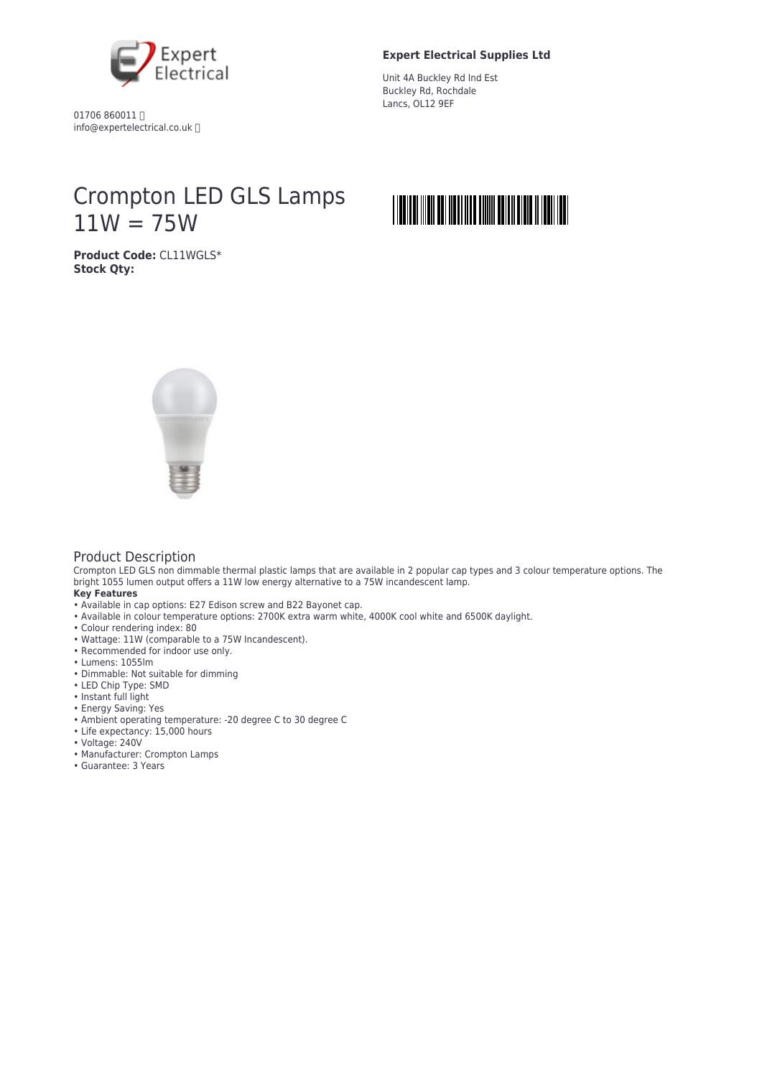

01706 860011 info@expertelectrical.co.uk

## **Expert Electrical Supplies Ltd**

Unit 4A Buckley Rd Ind Est Buckley Rd, Rochdale Lancs, OL12 9EF

## Crompton LED GLS Lamps  $11W = 75W$



**Product Code:** CL11WGLS\* **Stock Qty:**



## Product Description

Crompton LED GLS non dimmable thermal plastic lamps that are available in 2 popular cap types and 3 colour temperature options. The bright 1055 lumen output offers a 11W low energy alternative to a 75W incandescent lamp. **Key Features**

- Available in cap options: E27 Edison screw and B22 Bayonet cap.
- Available in colour temperature options: 2700K extra warm white, 4000K cool white and 6500K daylight.
- Colour rendering index: 80
- Wattage: 11W (comparable to a 75W Incandescent).
- Recommended for indoor use only.
- Lumens: 1055lm
- Dimmable: Not suitable for dimming
- LED Chip Type: SMD
- Instant full light
- Energy Saving: Yes
- Ambient operating temperature: -20 degree C to 30 degree C
- Life expectancy: 15,000 hours
- Voltage: 240V
- Manufacturer: Crompton Lamps
- Guarantee: 3 Years